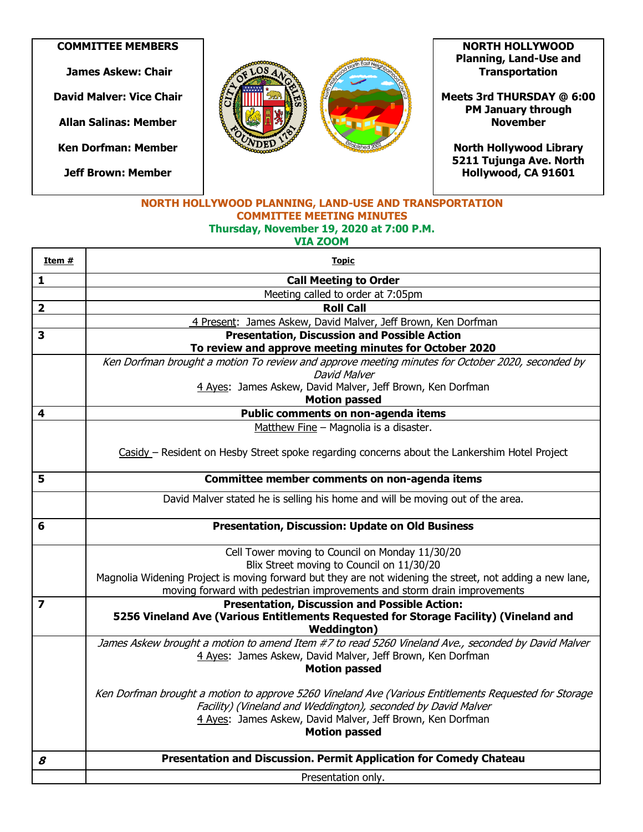**COMMITTEE MEMBERS**

**James Askew: Chair**

**David Malver: Vice Chair**

**Allan Salinas: Member**

**Ken Dorfman: Member**

**Jeff Brown: Member**



**NORTH HOLLYWOOD Planning, Land-Use and Transportation** 

**Meets 3rd THURSDAY @ 6:00 PM January through November** 

**North Hollywood Library 5211 Tujunga Ave. North Hollywood, CA 91601** 

## **NORTH HOLLYWOOD PLANNING, LAND-USE AND TRANSPORTATION COMMITTEE MEETING MINUTES Thursday, November 19, 2020 at 7:00 P.M. VIA ZOOM**

| Item #                  | <u>Topic</u>                                                                                                                |
|-------------------------|-----------------------------------------------------------------------------------------------------------------------------|
| $\mathbf{1}$            | <b>Call Meeting to Order</b>                                                                                                |
|                         | Meeting called to order at 7:05pm                                                                                           |
| $\overline{\mathbf{2}}$ | <b>Roll Call</b>                                                                                                            |
|                         | 4 Present: James Askew, David Malver, Jeff Brown, Ken Dorfman                                                               |
| $\overline{\mathbf{3}}$ | <b>Presentation, Discussion and Possible Action</b>                                                                         |
|                         | To review and approve meeting minutes for October 2020                                                                      |
|                         | Ken Dorfman brought a motion To review and approve meeting minutes for October 2020, seconded by                            |
|                         | David Malver                                                                                                                |
|                         | 4 Ayes: James Askew, David Malver, Jeff Brown, Ken Dorfman                                                                  |
|                         | <b>Motion passed</b>                                                                                                        |
| 4                       | Public comments on non-agenda items                                                                                         |
|                         | Matthew Fine - Magnolia is a disaster.                                                                                      |
|                         |                                                                                                                             |
|                         | Casidy - Resident on Hesby Street spoke regarding concerns about the Lankershim Hotel Project                               |
| 5                       |                                                                                                                             |
|                         | Committee member comments on non-agenda items                                                                               |
|                         | David Malver stated he is selling his home and will be moving out of the area.                                              |
|                         |                                                                                                                             |
| 6                       | <b>Presentation, Discussion: Update on Old Business</b>                                                                     |
|                         | Cell Tower moving to Council on Monday 11/30/20                                                                             |
|                         | Blix Street moving to Council on 11/30/20                                                                                   |
|                         | Magnolia Widening Project is moving forward but they are not widening the street, not adding a new lane,                    |
|                         | moving forward with pedestrian improvements and storm drain improvements                                                    |
| $\overline{\mathbf{z}}$ | <b>Presentation, Discussion and Possible Action:</b>                                                                        |
|                         | 5256 Vineland Ave (Various Entitlements Requested for Storage Facility) (Vineland and                                       |
|                         | <b>Weddington</b> )                                                                                                         |
|                         | James Askew brought a motion to amend Item #7 to read 5260 Vineland Ave., seconded by David Malver                          |
|                         | 4 Aves: James Askew, David Malver, Jeff Brown, Ken Dorfman                                                                  |
|                         | <b>Motion passed</b>                                                                                                        |
|                         |                                                                                                                             |
|                         | Ken Dorfman brought a motion to approve 5260 Vineland Ave (Various Entitlements Requested for Storage                       |
|                         | Facility) (Vineland and Weddington), seconded by David Malver<br>4 Ayes: James Askew, David Malver, Jeff Brown, Ken Dorfman |
|                         | <b>Motion passed</b>                                                                                                        |
|                         |                                                                                                                             |
| 8                       | Presentation and Discussion. Permit Application for Comedy Chateau                                                          |
|                         |                                                                                                                             |
|                         | Presentation only.                                                                                                          |